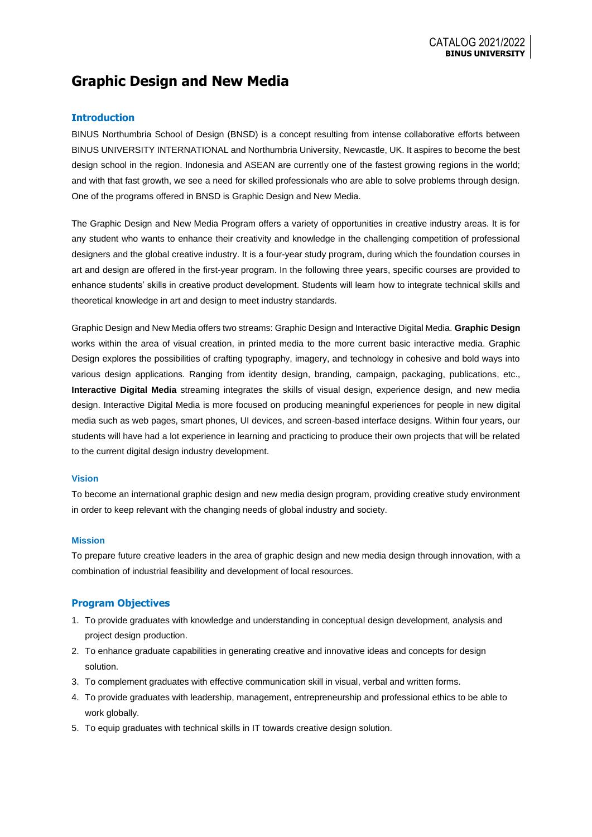# **Graphic Design and New Media**

## **Introduction**

BINUS Northumbria School of Design (BNSD) is a concept resulting from intense collaborative efforts between BINUS UNIVERSITY INTERNATIONAL and Northumbria University, Newcastle, UK. It aspires to become the best design school in the region. Indonesia and ASEAN are currently one of the fastest growing regions in the world; and with that fast growth, we see a need for skilled professionals who are able to solve problems through design. One of the programs offered in BNSD is Graphic Design and New Media.

The Graphic Design and New Media Program offers a variety of opportunities in creative industry areas. It is for any student who wants to enhance their creativity and knowledge in the challenging competition of professional designers and the global creative industry. It is a four-year study program, during which the foundation courses in art and design are offered in the first-year program. In the following three years, specific courses are provided to enhance students' skills in creative product development. Students will learn how to integrate technical skills and theoretical knowledge in art and design to meet industry standards.

Graphic Design and New Media offers two streams: Graphic Design and Interactive Digital Media. **Graphic Design** works within the area of visual creation, in printed media to the more current basic interactive media. Graphic Design explores the possibilities of crafting typography, imagery, and technology in cohesive and bold ways into various design applications. Ranging from identity design, branding, campaign, packaging, publications, etc., **Interactive Digital Media** streaming integrates the skills of visual design, experience design, and new media design. Interactive Digital Media is more focused on producing meaningful experiences for people in new digital media such as web pages, smart phones, UI devices, and screen-based interface designs. Within four years, our students will have had a lot experience in learning and practicing to produce their own projects that will be related to the current digital design industry development.

#### **Vision**

To become an international graphic design and new media design program, providing creative study environment in order to keep relevant with the changing needs of global industry and society.

#### **Mission**

To prepare future creative leaders in the area of graphic design and new media design through innovation, with a combination of industrial feasibility and development of local resources.

## **Program Objectives**

- 1. To provide graduates with knowledge and understanding in conceptual design development, analysis and project design production.
- 2. To enhance graduate capabilities in generating creative and innovative ideas and concepts for design solution.
- 3. To complement graduates with effective communication skill in visual, verbal and written forms.
- 4. To provide graduates with leadership, management, entrepreneurship and professional ethics to be able to work globally.
- 5. To equip graduates with technical skills in IT towards creative design solution.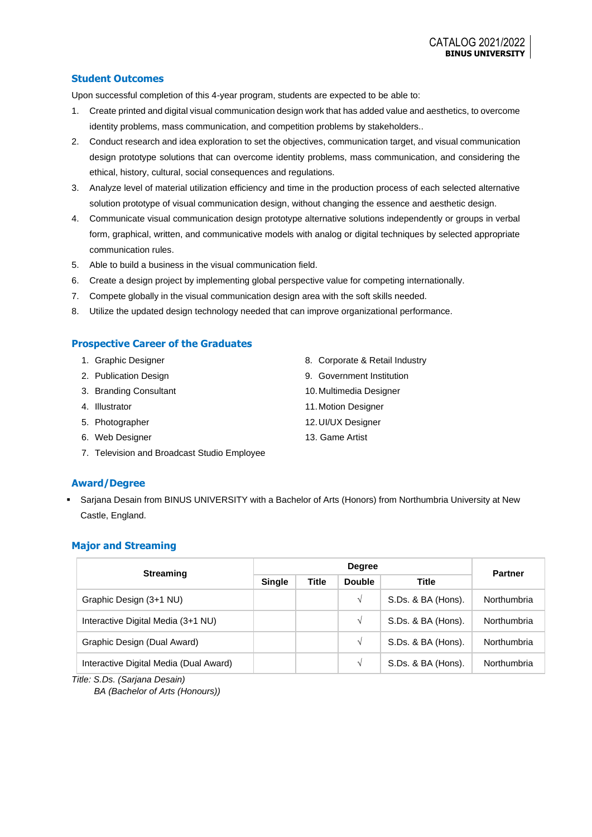## **Student Outcomes**

Upon successful completion of this 4-year program, students are expected to be able to:

- 1. Create printed and digital visual communication design work that has added value and aesthetics, to overcome identity problems, mass communication, and competition problems by stakeholders..
- 2. Conduct research and idea exploration to set the objectives, communication target, and visual communication design prototype solutions that can overcome identity problems, mass communication, and considering the ethical, history, cultural, social consequences and regulations.
- 3. Analyze level of material utilization efficiency and time in the production process of each selected alternative solution prototype of visual communication design, without changing the essence and aesthetic design.
- 4. Communicate visual communication design prototype alternative solutions independently or groups in verbal form, graphical, written, and communicative models with analog or digital techniques by selected appropriate communication rules.
- 5. Able to build a business in the visual communication field.
- 6. Create a design project by implementing global perspective value for competing internationally.
- 7. Compete globally in the visual communication design area with the soft skills needed.
- 8. Utilize the updated design technology needed that can improve organizational performance.

## **Prospective Career of the Graduates**

|  |  | Graphic Designer |
|--|--|------------------|
|--|--|------------------|

- 2. Publication Design
- 3. Branding Consultant
- 4. Illustrator
- 5. Photographer
- 6. Web Designer
- 7. Television and Broadcast Studio Employee
- 8. Corporate & Retail Industry
- 9. Government Institution
- 10.Multimedia Designer
- 11.Motion Designer
- 12.UI/UX Designer
- 13. Game Artist

## **Award/Degree**

Sarjana Desain from BINUS UNIVERSITY with a Bachelor of Arts (Honors) from Northumbria University at New Castle, England.

#### **Major and Streaming**

| <b>Streaming</b>                       | <b>Degree</b> |              |               |                    | <b>Partner</b> |  |
|----------------------------------------|---------------|--------------|---------------|--------------------|----------------|--|
|                                        | <b>Single</b> | <b>Title</b> | <b>Double</b> | <b>Title</b>       |                |  |
| Graphic Design (3+1 NU)                |               |              | $\sqrt{ }$    | S.Ds. & BA (Hons). | Northumbria    |  |
| Interactive Digital Media (3+1 NU)     |               |              | V             | S.Ds. & BA (Hons). | Northumbria    |  |
| Graphic Design (Dual Award)            |               |              | $\sqrt{ }$    | S.Ds. & BA (Hons). | Northumbria    |  |
| Interactive Digital Media (Dual Award) |               |              | V             | S.Ds. & BA (Hons). | Northumbria    |  |

*Title: S.Ds. (Sarjana Desain)*

*BA (Bachelor of Arts (Honours))*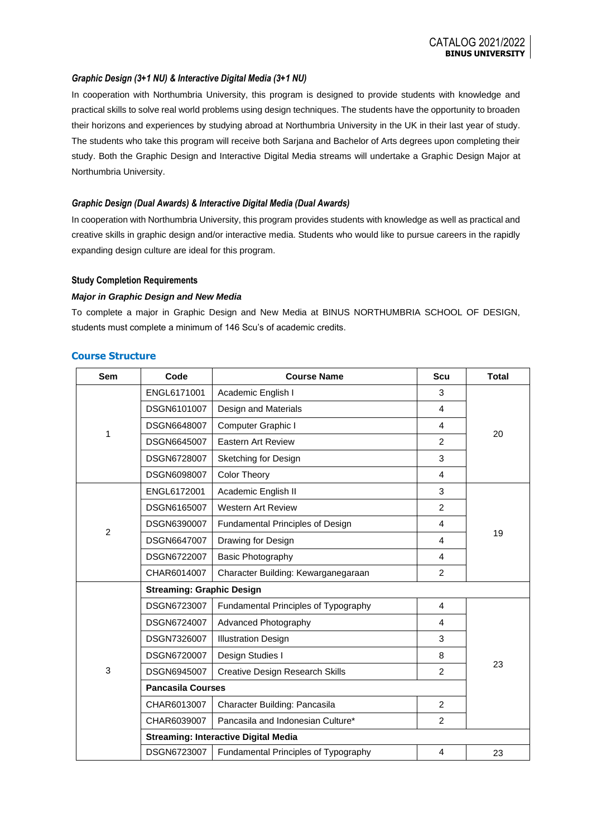## *Graphic Design (3+1 NU) & Interactive Digital Media (3+1 NU)*

In cooperation with Northumbria University, this program is designed to provide students with knowledge and practical skills to solve real world problems using design techniques. The students have the opportunity to broaden their horizons and experiences by studying abroad at Northumbria University in the UK in their last year of study. The students who take this program will receive both Sarjana and Bachelor of Arts degrees upon completing their study. Both the Graphic Design and Interactive Digital Media streams will undertake a Graphic Design Major at Northumbria University.

#### *Graphic Design (Dual Awards) & Interactive Digital Media (Dual Awards)*

In cooperation with Northumbria University, this program provides students with knowledge as well as practical and creative skills in graphic design and/or interactive media. Students who would like to pursue careers in the rapidly expanding design culture are ideal for this program.

#### **Study Completion Requirements**

#### *Major in Graphic Design and New Media*

To complete a major in Graphic Design and New Media at BINUS NORTHUMBRIA SCHOOL OF DESIGN, students must complete a minimum of 146 Scu's of academic credits.

| <b>Sem</b>     | Code                                        | <b>Course Name</b>                     | <b>Scu</b>     | <b>Total</b> |  |  |
|----------------|---------------------------------------------|----------------------------------------|----------------|--------------|--|--|
|                | ENGL6171001                                 | Academic English I                     | 3              |              |  |  |
|                | DSGN6101007                                 | Design and Materials                   | 4              |              |  |  |
| 1              | DSGN6648007                                 | Computer Graphic I                     | 4              | 20           |  |  |
|                | DSGN6645007                                 | <b>Eastern Art Review</b>              | $\overline{2}$ |              |  |  |
|                | DSGN6728007                                 | Sketching for Design                   | 3              |              |  |  |
|                | DSGN6098007                                 | <b>Color Theory</b>                    | 4              |              |  |  |
|                | ENGL6172001                                 | Academic English II                    | 3              |              |  |  |
|                | DSGN6165007                                 | <b>Western Art Review</b>              | $\overline{2}$ |              |  |  |
| $\overline{2}$ | DSGN6390007                                 | Fundamental Principles of Design       | 4              |              |  |  |
|                | DSGN6647007                                 | Drawing for Design<br>4                |                | 19           |  |  |
|                | DSGN6722007                                 | <b>Basic Photography</b>               |                |              |  |  |
|                | CHAR6014007                                 | Character Building: Kewarganegaraan    |                |              |  |  |
|                | <b>Streaming: Graphic Design</b>            |                                        |                |              |  |  |
|                | DSGN6723007                                 | Fundamental Principles of Typography   | 4              |              |  |  |
|                | DSGN6724007                                 | Advanced Photography                   | 4              |              |  |  |
|                | DSGN7326007                                 | <b>Illustration Design</b>             | 3              |              |  |  |
| 3              | DSGN6720007                                 | Design Studies I                       | 8              |              |  |  |
|                | DSGN6945007                                 | <b>Creative Design Research Skills</b> | $\overline{2}$ | 23           |  |  |
|                | <b>Pancasila Courses</b>                    |                                        |                |              |  |  |
|                | CHAR6013007                                 | Character Building: Pancasila          | $\overline{2}$ |              |  |  |
|                | CHAR6039007                                 | Pancasila and Indonesian Culture*      |                |              |  |  |
|                | <b>Streaming: Interactive Digital Media</b> |                                        |                |              |  |  |
|                | DSGN6723007                                 | Fundamental Principles of Typography   | 4              | 23           |  |  |

#### **Course Structure**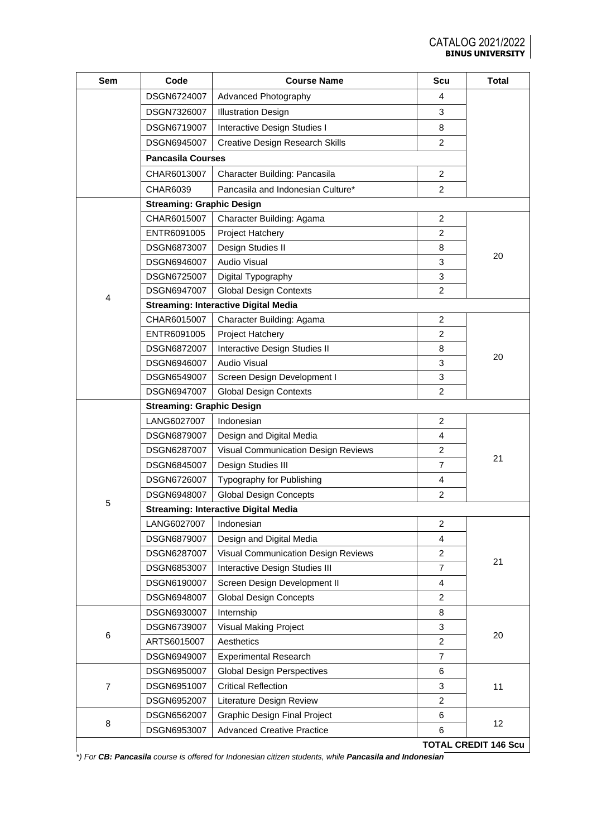| <b>Sem</b>     | Code                                        | <b>Course Name</b>                          | <b>Scu</b>              | <b>Total</b>                |  |  |  |
|----------------|---------------------------------------------|---------------------------------------------|-------------------------|-----------------------------|--|--|--|
|                | DSGN6724007                                 | Advanced Photography                        | 4                       |                             |  |  |  |
|                | DSGN7326007                                 | <b>Illustration Design</b>                  | 3                       |                             |  |  |  |
|                | DSGN6719007                                 | Interactive Design Studies I                | 8                       |                             |  |  |  |
|                | DSGN6945007                                 | <b>Creative Design Research Skills</b>      | 2                       |                             |  |  |  |
|                | <b>Pancasila Courses</b>                    |                                             |                         |                             |  |  |  |
|                | CHAR6013007                                 | Character Building: Pancasila               | $\overline{2}$          |                             |  |  |  |
|                | CHAR6039                                    | Pancasila and Indonesian Culture*           | 2                       |                             |  |  |  |
|                | <b>Streaming: Graphic Design</b>            |                                             |                         |                             |  |  |  |
|                | CHAR6015007                                 | Character Building: Agama                   | $\overline{c}$          |                             |  |  |  |
|                | ENTR6091005                                 | Project Hatchery                            | $\overline{2}$          |                             |  |  |  |
|                | DSGN6873007                                 | Design Studies II                           | 8                       |                             |  |  |  |
|                | DSGN6946007                                 | <b>Audio Visual</b>                         | 3                       | 20                          |  |  |  |
|                | DSGN6725007                                 | Digital Typography                          | 3                       |                             |  |  |  |
| 4              | DSGN6947007                                 | <b>Global Design Contexts</b>               | $\overline{2}$          |                             |  |  |  |
|                |                                             | <b>Streaming: Interactive Digital Media</b> |                         |                             |  |  |  |
|                | CHAR6015007                                 | Character Building: Agama                   | 2                       |                             |  |  |  |
|                | ENTR6091005                                 | Project Hatchery                            | $\overline{2}$          |                             |  |  |  |
|                | DSGN6872007                                 | Interactive Design Studies II               | 8                       |                             |  |  |  |
|                | DSGN6946007                                 | <b>Audio Visual</b>                         | 3                       | 20                          |  |  |  |
|                | DSGN6549007                                 | Screen Design Development I                 | 3                       |                             |  |  |  |
|                | DSGN6947007                                 | <b>Global Design Contexts</b>               | $\overline{2}$          |                             |  |  |  |
|                | <b>Streaming: Graphic Design</b>            |                                             |                         |                             |  |  |  |
|                | LANG6027007                                 | Indonesian                                  | 2                       |                             |  |  |  |
|                | <b>DSGN6879007</b>                          | Design and Digital Media                    | $\overline{4}$          |                             |  |  |  |
|                | DSGN6287007                                 | Visual Communication Design Reviews         | 2                       | 21                          |  |  |  |
|                | DSGN6845007                                 | Design Studies III                          | $\overline{7}$          |                             |  |  |  |
|                | DSGN6726007                                 | Typography for Publishing                   | 4                       |                             |  |  |  |
| 5              | DSGN6948007                                 | <b>Global Design Concepts</b>               | $\overline{2}$          |                             |  |  |  |
|                | <b>Streaming: Interactive Digital Media</b> |                                             |                         |                             |  |  |  |
|                | LANG6027007                                 | Indonesian                                  | $\overline{\mathbf{c}}$ |                             |  |  |  |
|                | DSGN6879007                                 | Design and Digital Media<br>4               |                         |                             |  |  |  |
|                | DSGN6287007                                 | Visual Communication Design Reviews         | $\overline{c}$          | 21                          |  |  |  |
|                | DSGN6853007                                 | Interactive Design Studies III              | $\overline{7}$          |                             |  |  |  |
|                | DSGN6190007                                 | Screen Design Development II                | $\overline{4}$          |                             |  |  |  |
|                | DSGN6948007                                 | <b>Global Design Concepts</b>               | $\overline{c}$          |                             |  |  |  |
|                | DSGN6930007                                 | Internship                                  | 8                       |                             |  |  |  |
| 6              | DSGN6739007                                 | Visual Making Project                       | 3                       | 20                          |  |  |  |
|                | ARTS6015007                                 | Aesthetics                                  | $\overline{c}$          |                             |  |  |  |
|                | DSGN6949007                                 | <b>Experimental Research</b>                | $\overline{7}$          |                             |  |  |  |
| $\overline{7}$ | DSGN6950007                                 | <b>Global Design Perspectives</b>           | 6                       |                             |  |  |  |
|                | DSGN6951007                                 | <b>Critical Reflection</b>                  | 3                       | 11                          |  |  |  |
|                | DSGN6952007                                 | Literature Design Review                    | $\overline{2}$          |                             |  |  |  |
| 8              | DSGN6562007                                 | <b>Graphic Design Final Project</b>         | 6                       | 12                          |  |  |  |
|                | DSGN6953007                                 | <b>Advanced Creative Practice</b>           | 6                       |                             |  |  |  |
|                |                                             |                                             |                         | <b>TOTAL CREDIT 146 Scu</b> |  |  |  |

*\*) For CB: Pancasila course is offered for Indonesian citizen students, while Pancasila and Indonesian*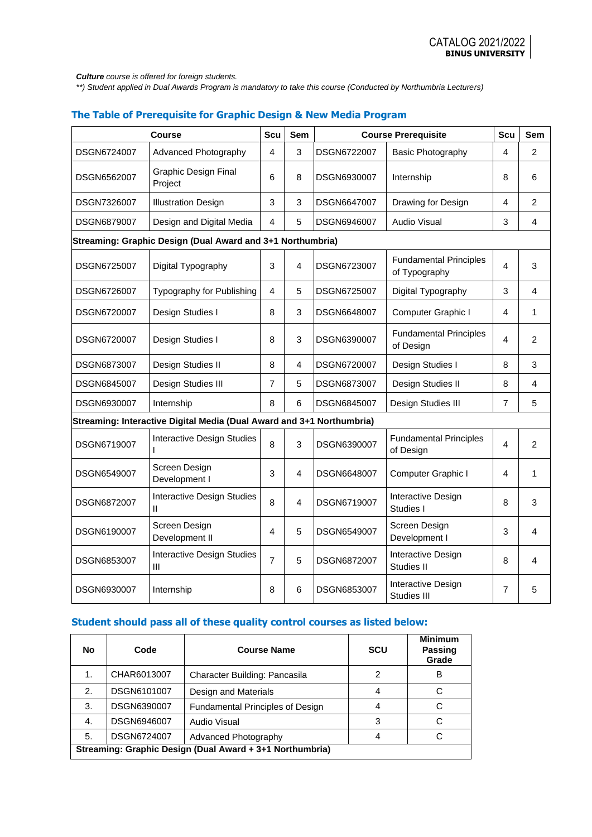*Culture course is offered for foreign students.*

*\*\*) Student applied in Dual Awards Program is mandatory to take this course (Conducted by Northumbria Lecturers)*

# **The Table of Prerequisite for Graphic Design & New Media Program**

| <b>Course</b> |                                                                       | <b>Scu</b>     | <b>Sem</b> | <b>Course Prerequisite</b> |                                                | <b>Scu</b>     | <b>Sem</b>     |
|---------------|-----------------------------------------------------------------------|----------------|------------|----------------------------|------------------------------------------------|----------------|----------------|
| DSGN6724007   | Advanced Photography                                                  | 4              | 3          | DSGN6722007                | Basic Photography                              | 4              | $\overline{2}$ |
| DSGN6562007   | <b>Graphic Design Final</b><br>Project                                | 6              | 8          | DSGN6930007                | Internship                                     | 8              | 6              |
| DSGN7326007   | <b>Illustration Design</b>                                            | 3              | 3          | DSGN6647007                | Drawing for Design                             | 4              | $\overline{2}$ |
| DSGN6879007   | Design and Digital Media                                              | 4              | 5          | DSGN6946007                | Audio Visual                                   | 3              | 4              |
|               | Streaming: Graphic Design (Dual Award and 3+1 Northumbria)            |                |            |                            |                                                |                |                |
| DSGN6725007   | Digital Typography                                                    | $\mathsf 3$    | 4          | DSGN6723007                | <b>Fundamental Principles</b><br>of Typography | 4              | 3              |
| DSGN6726007   | Typography for Publishing                                             | 4              | 5          | <b>DSGN6725007</b>         | Digital Typography                             | 3              | 4              |
| DSGN6720007   | Design Studies I                                                      | 8              | 3          | DSGN6648007                | Computer Graphic I                             | 4              | $\mathbf{1}$   |
| DSGN6720007   | Design Studies I                                                      | 8              | 3          | DSGN6390007                | <b>Fundamental Principles</b><br>of Design     | 4              | $\overline{2}$ |
| DSGN6873007   | Design Studies II                                                     | 8              | 4          | DSGN6720007                | Design Studies I                               | 8              | 3              |
| DSGN6845007   | Design Studies III                                                    | $\overline{7}$ | 5          | DSGN6873007                | Design Studies II                              | 8              | 4              |
| DSGN6930007   | Internship                                                            | 8              | 6          | DSGN6845007                | Design Studies III                             | $\overline{7}$ | 5              |
|               | Streaming: Interactive Digital Media (Dual Award and 3+1 Northumbria) |                |            |                            |                                                |                |                |
| DSGN6719007   | <b>Interactive Design Studies</b>                                     | 8              | 3          | DSGN6390007                | <b>Fundamental Principles</b><br>of Design     | $\overline{4}$ | $\overline{2}$ |
| DSGN6549007   | Screen Design<br>Development I                                        | 3              | 4          | DSGN6648007                | Computer Graphic I                             | 4              | 1              |
| DSGN6872007   | <b>Interactive Design Studies</b><br>Ш                                | 8              | 4          | DSGN6719007                | Interactive Design<br>Studies I                | 8              | 3              |
| DSGN6190007   | Screen Design<br>Development II                                       | 4              | 5          | DSGN6549007                | Screen Design<br>Development I                 | 3              | 4              |
| DSGN6853007   | <b>Interactive Design Studies</b><br>Ш                                | $\overline{7}$ | 5          | DSGN6872007                | Interactive Design<br>Studies II               | 8              | 4              |
| DSGN6930007   | Internship                                                            | 8              | 6          | DSGN6853007                | Interactive Design<br>Studies III              | $\overline{7}$ | 5              |

## **Student should pass all of these quality control courses as listed below:**

| No.                                                      | Code        | <b>Course Name</b>                      | <b>SCU</b> | <b>Minimum</b><br>Passing<br>Grade |  |  |
|----------------------------------------------------------|-------------|-----------------------------------------|------------|------------------------------------|--|--|
| 1.                                                       | CHAR6013007 | Character Building: Pancasila           | 2          | B                                  |  |  |
| 2.                                                       | DSGN6101007 | Design and Materials                    |            |                                    |  |  |
| 3.                                                       | DSGN6390007 | <b>Fundamental Principles of Design</b> |            |                                    |  |  |
| 4.                                                       | DSGN6946007 | Audio Visual                            | 3          | C                                  |  |  |
| 5.                                                       | DSGN6724007 | Advanced Photography                    | 4          |                                    |  |  |
| Streaming: Graphic Design (Dual Award + 3+1 Northumbria) |             |                                         |            |                                    |  |  |